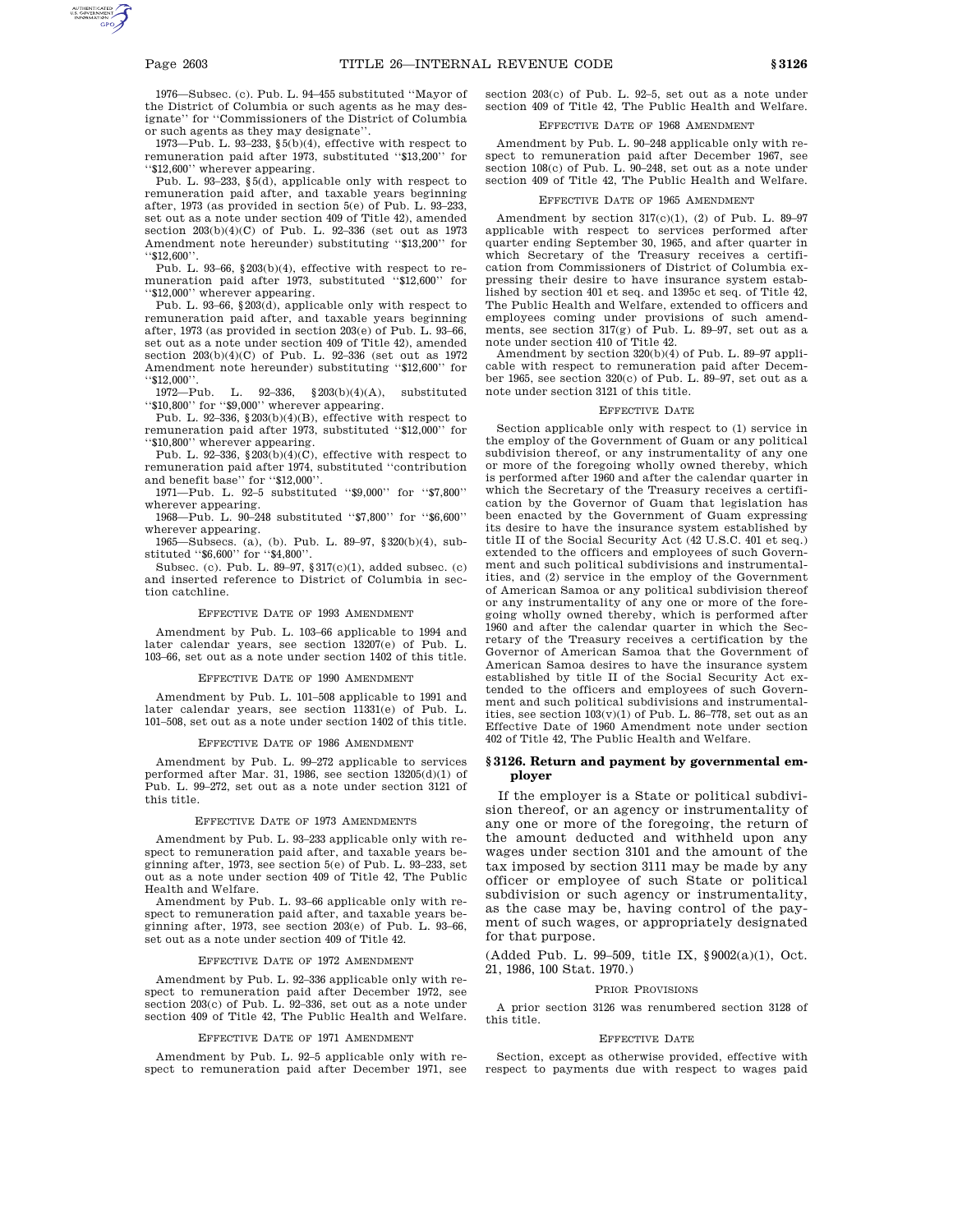1976—Subsec. (c). Pub. L. 94–455 substituted ''Mayor of the District of Columbia or such agents as he may designate'' for ''Commissioners of the District of Columbia or such agents as they may designate''.

1973—Pub. L. 93–233, §5(b)(4), effective with respect to remuneration paid after 1973, substituted ''\$13,200'' for ''\$12,600'' wherever appearing.

Pub. L. 93–233, §5(d), applicable only with respect to remuneration paid after, and taxable years beginning after, 1973 (as provided in section 5(e) of Pub. L. 93–233, set out as a note under section 409 of Title 42), amended section  $203(b)(4)(C)$  of Pub. L. 92-336 (set out as 1973 Amendment note hereunder) substituting ''\$13,200'' for ''\$12,600''.

Pub. L. 93–66, §203(b)(4), effective with respect to remuneration paid after 1973, substituted ''\$12,600'' for ''\$12,000'' wherever appearing.

Pub. L. 93–66, §203(d), applicable only with respect to remuneration paid after, and taxable years beginning after, 1973 (as provided in section 203(e) of Pub. L. 93–66, set out as a note under section 409 of Title 42), amended section 203(b)(4)(C) of Pub. L. 92–336 (set out as 1972 Amendment note hereunder) substituting ''\$12,600'' for "\$12,000".<br>1972—Pub.

L. 92–336,  $$203(b)(4)(A)$ , substituted ''\$10,800'' for ''\$9,000'' wherever appearing.

Pub. L. 92–336, §203(b)(4)(B), effective with respect to remuneration paid after 1973, substituted ''\$12,000'' for ''\$10,800'' wherever appearing.

Pub. L. 92–336,  $\S 203(b)(4)(C)$ , effective with respect to remuneration paid after 1974, substituted ''contribution and benefit base'' for ''\$12,000''.

1971—Pub. L. 92–5 substituted ''\$9,000'' for ''\$7,800'' wherever appearing.

1968—Pub. L. 90–248 substituted ''\$7,800'' for ''\$6,600'' wherever appearing.

1965—Subsecs. (a), (b). Pub. L. 89–97, §320(b)(4), substituted ''\$6,600'' for ''\$4,800''.

Subsec. (c). Pub. L. 89–97, §317(c)(1), added subsec. (c) and inserted reference to District of Columbia in section catchline.

#### EFFECTIVE DATE OF 1993 AMENDMENT

Amendment by Pub. L. 103–66 applicable to 1994 and later calendar years, see section 13207(e) of Pub. L. 103–66, set out as a note under section 1402 of this title.

#### EFFECTIVE DATE OF 1990 AMENDMENT

Amendment by Pub. L. 101–508 applicable to 1991 and later calendar years, see section 11331(e) of Pub. L. 101–508, set out as a note under section 1402 of this title.

### EFFECTIVE DATE OF 1986 AMENDMENT

Amendment by Pub. L. 99–272 applicable to services performed after Mar. 31, 1986, see section 13205(d)(1) of Pub. L. 99–272, set out as a note under section 3121 of this title.

# EFFECTIVE DATE OF 1973 AMENDMENTS

Amendment by Pub. L. 93–233 applicable only with respect to remuneration paid after, and taxable years beginning after, 1973, see section 5(e) of Pub. L. 93–233, set out as a note under section 409 of Title 42, The Public Health and Welfare.

Amendment by Pub. L. 93–66 applicable only with respect to remuneration paid after, and taxable years beginning after, 1973, see section 203(e) of Pub. L. 93–66, set out as a note under section 409 of Title 42.

### EFFECTIVE DATE OF 1972 AMENDMENT

Amendment by Pub. L. 92–336 applicable only with respect to remuneration paid after December 1972, see section 203(c) of Pub. L. 92–336, set out as a note under section 409 of Title 42, The Public Health and Welfare.

### EFFECTIVE DATE OF 1971 AMENDMENT

Amendment by Pub. L. 92–5 applicable only with respect to remuneration paid after December 1971, see section 203(c) of Pub. L. 92–5, set out as a note under section 409 of Title 42, The Public Health and Welfare.

## EFFECTIVE DATE OF 1968 AMENDMENT

Amendment by Pub. L. 90–248 applicable only with respect to remuneration paid after December 1967, see section 108(c) of Pub. L. 90–248, set out as a note under section 409 of Title 42, The Public Health and Welfare.

### EFFECTIVE DATE OF 1965 AMENDMENT

Amendment by section  $317(c)(1)$ , (2) of Pub. L. 89-97 applicable with respect to services performed after quarter ending September 30, 1965, and after quarter in which Secretary of the Treasury receives a certification from Commissioners of District of Columbia expressing their desire to have insurance system established by section 401 et seq. and 1395c et seq. of Title 42, The Public Health and Welfare, extended to officers and employees coming under provisions of such amendments, see section 317(g) of Pub. L. 89–97, set out as a note under section 410 of Title 42.

Amendment by section 320(b)(4) of Pub. L. 89–97 applicable with respect to remuneration paid after December 1965, see section 320(c) of Pub. L. 89–97, set out as a note under section 3121 of this title.

### EFFECTIVE DATE

Section applicable only with respect to (1) service in the employ of the Government of Guam or any political subdivision thereof, or any instrumentality of any one or more of the foregoing wholly owned thereby, which is performed after 1960 and after the calendar quarter in which the Secretary of the Treasury receives a certification by the Governor of Guam that legislation has been enacted by the Government of Guam expressing its desire to have the insurance system established by title II of the Social Security Act (42 U.S.C. 401 et seq.) extended to the officers and employees of such Government and such political subdivisions and instrumentalities, and (2) service in the employ of the Government of American Samoa or any political subdivision thereof or any instrumentality of any one or more of the foregoing wholly owned thereby, which is performed after 1960 and after the calendar quarter in which the Secretary of the Treasury receives a certification by the Governor of American Samoa that the Government of American Samoa desires to have the insurance system established by title II of the Social Security Act extended to the officers and employees of such Government and such political subdivisions and instrumentalities, see section  $103(v)(1)$  of Pub. L. 86-778, set out as an Effective Date of 1960 Amendment note under section 402 of Title 42, The Public Health and Welfare.

### **§ 3126. Return and payment by governmental employer**

If the employer is a State or political subdivision thereof, or an agency or instrumentality of any one or more of the foregoing, the return of the amount deducted and withheld upon any wages under section 3101 and the amount of the tax imposed by section 3111 may be made by any officer or employee of such State or political subdivision or such agency or instrumentality, as the case may be, having control of the payment of such wages, or appropriately designated for that purpose.

(Added Pub. L. 99–509, title IX, §9002(a)(1), Oct. 21, 1986, 100 Stat. 1970.)

### PRIOR PROVISIONS

A prior section 3126 was renumbered section 3128 of this title.

### EFFECTIVE DATE

Section, except as otherwise provided, effective with respect to payments due with respect to wages paid